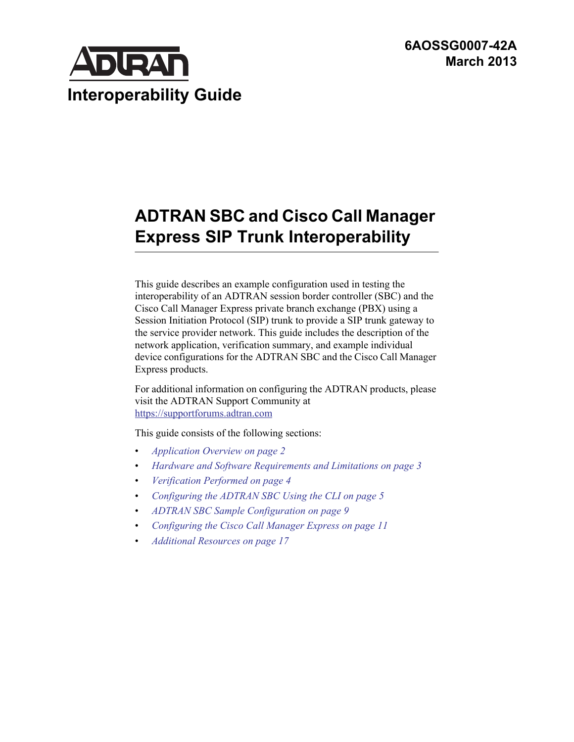**6AOSSG0007-42A March 2013**



# **ADTRAN SBC and Cisco Call Manager Express SIP Trunk Interoperability**

This guide describes an example configuration used in testing the interoperability of an ADTRAN session border controller (SBC) and the Cisco Call Manager Express private branch exchange (PBX) using a Session Initiation Protocol (SIP) trunk to provide a SIP trunk gateway to the service provider network. This guide includes the description of the network application, verification summary, and example individual device configurations for the ADTRAN SBC and the Cisco Call Manager Express products.

For additional information on configuring the ADTRAN products, please visit the ADTRAN Support Community at <https://supportforums.adtran.com>

This guide consists of the following sections:

- *[Application Overview on page 2](#page-1-0)*
- *[Hardware and Software Requirements and Limitations on page 3](#page-2-0)*
- *[Verification Performed on page 4](#page-3-0)*
- *[Configuring the ADTRAN SBC Using the CLI on page 5](#page-4-0)*
- *[ADTRAN SBC Sample Configuration on page 9](#page-8-0)*
- *[Configuring the Cisco Call Manager Express on page 11](#page-10-0)*
- *[Additional Resources on page 17](#page-16-0)*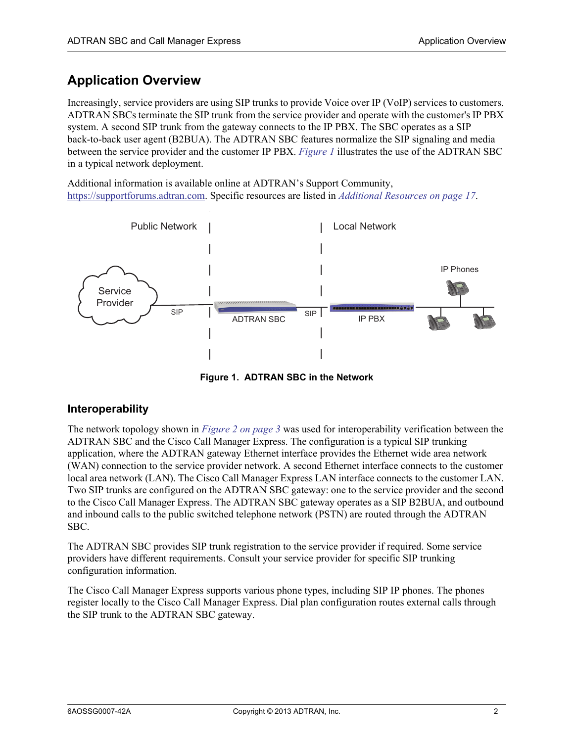# <span id="page-1-0"></span>**Application Overview**

Increasingly, service providers are using SIP trunks to provide Voice over IP (VoIP) services to customers. ADTRAN SBCs terminate the SIP trunk from the service provider and operate with the customer's IP PBX system. A second SIP trunk from the gateway connects to the IP PBX. The SBC operates as a SIP back-to-back user agent (B2BUA). The ADTRAN SBC features normalize the SIP signaling and media between the service provider and the customer IP PBX. *[Figure 1](#page-1-1)* illustrates the use of the ADTRAN SBC in a typical network deployment.

Additional information is available online at ADTRAN's Support Community, [https://supportforums.adtran.com.](https://supportforums.adtran.com) Specific resources are listed in *[Additional Resources on page 17](#page-16-0)*.



**Figure 1. ADTRAN SBC in the Network**

#### <span id="page-1-1"></span>**Interoperability**

The network topology shown in *[Figure 2 on page 3](#page-2-1)* was used for interoperability verification between the ADTRAN SBC and the Cisco Call Manager Express. The configuration is a typical SIP trunking application, where the ADTRAN gateway Ethernet interface provides the Ethernet wide area network (WAN) connection to the service provider network. A second Ethernet interface connects to the customer local area network (LAN). The Cisco Call Manager Express LAN interface connects to the customer LAN. Two SIP trunks are configured on the ADTRAN SBC gateway: one to the service provider and the second to the Cisco Call Manager Express. The ADTRAN SBC gateway operates as a SIP B2BUA, and outbound and inbound calls to the public switched telephone network (PSTN) are routed through the ADTRAN SBC.

The ADTRAN SBC provides SIP trunk registration to the service provider if required. Some service providers have different requirements. Consult your service provider for specific SIP trunking configuration information.

The Cisco Call Manager Express supports various phone types, including SIP IP phones. The phones register locally to the Cisco Call Manager Express. Dial plan configuration routes external calls through the SIP trunk to the ADTRAN SBC gateway.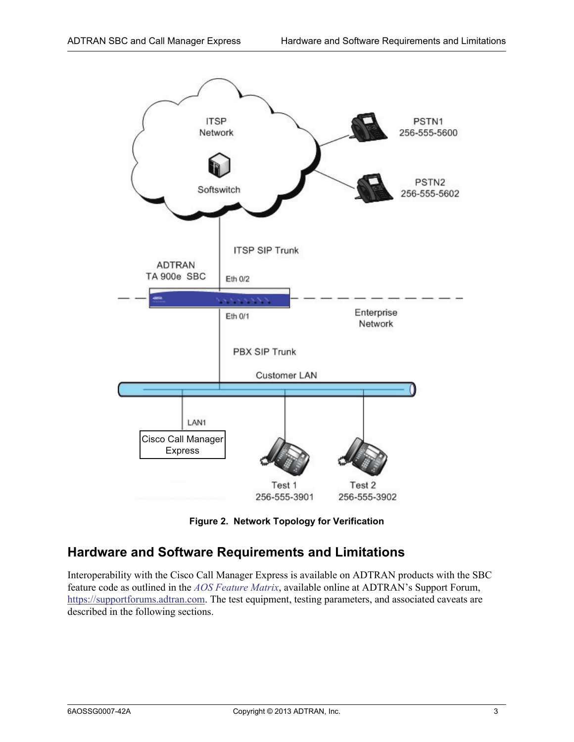

**Figure 2. Network Topology for Verification**

### <span id="page-2-1"></span><span id="page-2-0"></span>**Hardware and Software Requirements and Limitations**

Interoperability with the Cisco Call Manager Express is available on ADTRAN products with the SBC feature code as outlined in the *[AOS Feature Matrix](https://supportforums.adtran.com/docs/DOC-1115)*, available online at ADTRAN's Support Forum, [https://supportforums.adtran.com.](https://supportforums.adtran.com) The test equipment, testing parameters, and associated caveats are described in the following sections.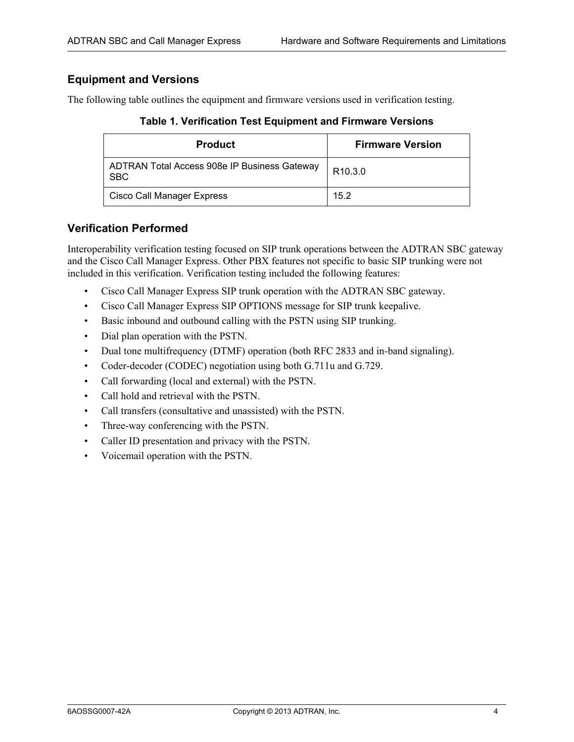#### **Equipment and Versions**

The following table outlines the equipment and firmware versions used in verification testing.

**Table 1. Verification Test Equipment and Firmware Versions**

| <b>Product</b>                                             | <b>Firmware Version</b> |
|------------------------------------------------------------|-------------------------|
| ADTRAN Total Access 908e IP Business Gateway<br><b>SBC</b> | R <sub>10.3.0</sub>     |
| Cisco Call Manager Express                                 | 15.2                    |

#### <span id="page-3-0"></span>**Verification Performed**

Interoperability verification testing focused on SIP trunk operations between the ADTRAN SBC gateway and the Cisco Call Manager Express. Other PBX features not specific to basic SIP trunking were not included in this verification. Verification testing included the following features:

- Cisco Call Manager Express SIP trunk operation with the ADTRAN SBC gateway.
- Cisco Call Manager Express SIP OPTIONS message for SIP trunk keepalive.
- Basic inbound and outbound calling with the PSTN using SIP trunking.
- Dial plan operation with the PSTN.
- Dual tone multifrequency (DTMF) operation (both RFC 2833 and in-band signaling).
- Coder-decoder (CODEC) negotiation using both G.711u and G.729.
- Call forwarding (local and external) with the PSTN.
- Call hold and retrieval with the PSTN.
- Call transfers (consultative and unassisted) with the PSTN.
- Three-way conferencing with the PSTN.
- Caller ID presentation and privacy with the PSTN.
- Voicemail operation with the PSTN.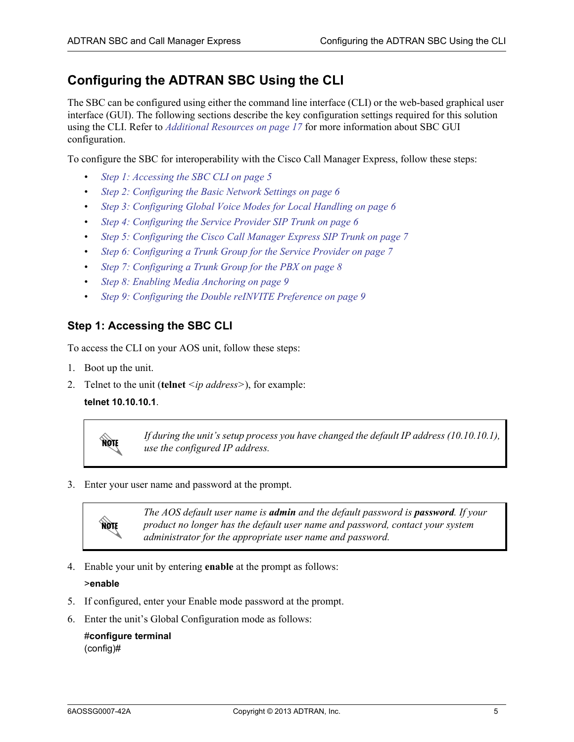## <span id="page-4-0"></span>**Configuring the ADTRAN SBC Using the CLI**

The SBC can be configured using either the command line interface (CLI) or the web-based graphical user interface (GUI). The following sections describe the key configuration settings required for this solution using the CLI. Refer to *[Additional Resources on page 17](#page-16-0)* for more information about SBC GUI configuration.

To configure the SBC for interoperability with the Cisco Call Manager Express, follow these steps:

- *[Step 1: Accessing the SBC CLI on page 5](#page-4-1)*
- *[Step 2: Configuring the Basic Network Settings on page 6](#page-5-0)*
- *[Step 3: Configuring Global Voice Modes for Local Handling on page 6](#page-5-1)*
- *[Step 4: Configuring the Service Provider SIP Trunk on page 6](#page-5-2)*
- *[Step 5: Configuring the Cisco Call Manager Express SIP Trunk on page 7](#page-6-0)*
- *[Step 6: Configuring a Trunk Group for the Service Provider on page 7](#page-6-1)*
- *[Step 7: Configuring a Trunk Group for the PBX on page 8](#page-7-0)*
- *[Step 8: Enabling Media Anchoring on page 9](#page-8-1)*
- *[Step 9: Configuring the Double reINVITE Preference on page 9](#page-8-2)*

#### <span id="page-4-1"></span>**Step 1: Accessing the SBC CLI**

To access the CLI on your AOS unit, follow these steps:

- 1. Boot up the unit.
- 2. Telnet to the unit (**telnet** *<ip address>*), for example:

#### **telnet 10.10.10.1**.



*If during the unit's setup process you have changed the default IP address (10.10.10.1), use the configured IP address.*

3. Enter your user name and password at the prompt.



*The AOS default user name is admin and the default password is password. If your product no longer has the default user name and password, contact your system administrator for the appropriate user name and password.*

4. Enable your unit by entering **enable** at the prompt as follows:

#### >**enable**

- 5. If configured, enter your Enable mode password at the prompt.
- 6. Enter the unit's Global Configuration mode as follows:

#### #**configure terminal** (config)#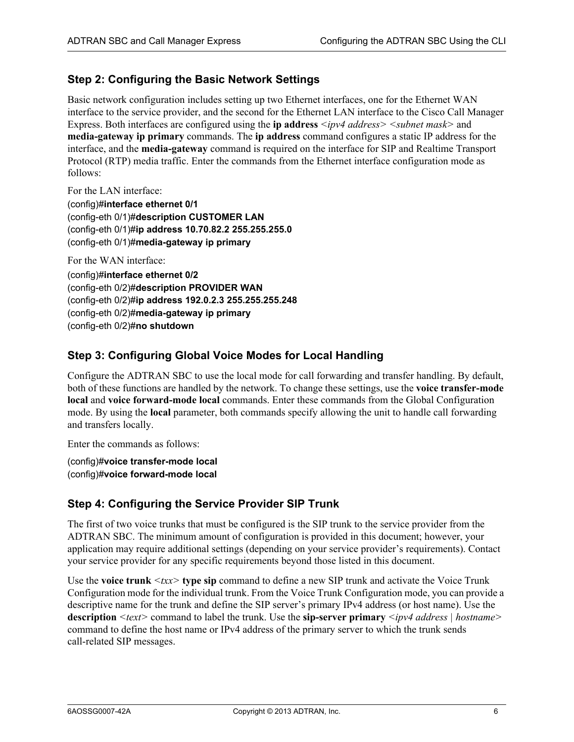#### <span id="page-5-0"></span>**Step 2: Configuring the Basic Network Settings**

Basic network configuration includes setting up two Ethernet interfaces, one for the Ethernet WAN interface to the service provider, and the second for the Ethernet LAN interface to the Cisco Call Manager Express. Both interfaces are configured using the **ip address** *<ipv4 address> <subnet mask>* and **media-gateway ip primary** commands. The **ip address** command configures a static IP address for the interface, and the **media-gateway** command is required on the interface for SIP and Realtime Transport Protocol (RTP) media traffic. Enter the commands from the Ethernet interface configuration mode as follows:

For the LAN interface:

(config)#**interface ethernet 0/1** (config-eth 0/1)#**description CUSTOMER LAN** (config-eth 0/1)#**ip address 10.70.82.2 255.255.255.0** (config-eth 0/1)#**media-gateway ip primary**

For the WAN interface:

(config)#**interface ethernet 0/2** (config-eth 0/2)#**description PROVIDER WAN** (config-eth 0/2)#**ip address 192.0.2.3 255.255.255.248** (config-eth 0/2)#**media-gateway ip primary** (config-eth 0/2)#**no shutdown**

#### <span id="page-5-1"></span>**Step 3: Configuring Global Voice Modes for Local Handling**

Configure the ADTRAN SBC to use the local mode for call forwarding and transfer handling. By default, both of these functions are handled by the network. To change these settings, use the **voice transfer-mode local** and **voice forward-mode local** commands. Enter these commands from the Global Configuration mode. By using the **local** parameter, both commands specify allowing the unit to handle call forwarding and transfers locally.

Enter the commands as follows:

(config)#**voice transfer-mode local** (config)#**voice forward-mode local**

#### <span id="page-5-2"></span>**Step 4: Configuring the Service Provider SIP Trunk**

The first of two voice trunks that must be configured is the SIP trunk to the service provider from the ADTRAN SBC. The minimum amount of configuration is provided in this document; however, your application may require additional settings (depending on your service provider's requirements). Contact your service provider for any specific requirements beyond those listed in this document.

Use the **voice trunk** *<txx>* **type sip** command to define a new SIP trunk and activate the Voice Trunk Configuration mode for the individual trunk. From the Voice Trunk Configuration mode, you can provide a descriptive name for the trunk and define the SIP server's primary IPv4 address (or host name). Use the **description** *<text>* command to label the trunk. Use the **sip-server primary** *<ipv4 address | hostname>* command to define the host name or IPv4 address of the primary server to which the trunk sends call-related SIP messages.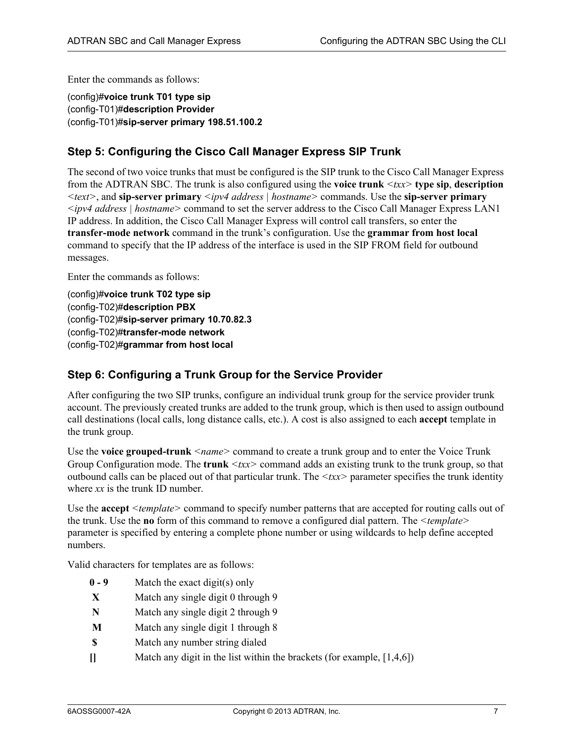Enter the commands as follows:

(config)#**voice trunk T01 type sip** (config-T01)#**description Provider** (config-T01)#**sip-server primary 198.51.100.2**

#### <span id="page-6-0"></span>**Step 5: Configuring the Cisco Call Manager Express SIP Trunk**

The second of two voice trunks that must be configured is the SIP trunk to the Cisco Call Manager Express from the ADTRAN SBC. The trunk is also configured using the **voice trunk** *<txx>* **type sip**, **description**  *<text>*, and **sip-server primary** *<ipv4 address | hostname>* commands. Use the **sip-server primary**  *<ipv4 address | hostname>* command to set the server address to the Cisco Call Manager Express LAN1 IP address. In addition, the Cisco Call Manager Express will control call transfers, so enter the **transfer-mode network** command in the trunk's configuration. Use the **grammar from host local** command to specify that the IP address of the interface is used in the SIP FROM field for outbound messages.

Enter the commands as follows:

(config)#**voice trunk T02 type sip** (config-T02)#**description PBX** (config-T02)#**sip-server primary 10.70.82.3** (config-T02)#**transfer-mode network** (config-T02)#**grammar from host local**

#### <span id="page-6-1"></span>**Step 6: Configuring a Trunk Group for the Service Provider**

After configuring the two SIP trunks, configure an individual trunk group for the service provider trunk account. The previously created trunks are added to the trunk group, which is then used to assign outbound call destinations (local calls, long distance calls, etc.). A cost is also assigned to each **accept** template in the trunk group.

Use the **voice grouped-trunk**  $\leq$  name  $\geq$  command to create a trunk group and to enter the Voice Trunk Group Configuration mode. The **trunk**  $\langle txx \rangle$  command adds an existing trunk to the trunk group, so that outbound calls can be placed out of that particular trunk. The *<txx>* parameter specifies the trunk identity where *xx* is the trunk ID number.

Use the **accept** *<template>* command to specify number patterns that are accepted for routing calls out of the trunk. Use the **no** form of this command to remove a configured dial pattern. The *<template>* parameter is specified by entering a complete phone number or using wildcards to help define accepted numbers.

Valid characters for templates are as follows:

- **0 9** Match the exact digit(s) only
- **X** Match any single digit 0 through 9
- **N** Match any single digit 2 through 9
- **M** Match any single digit 1 through 8
- **\$** Match any number string dialed
- **[]** Match any digit in the list within the brackets (for example, [1,4,6])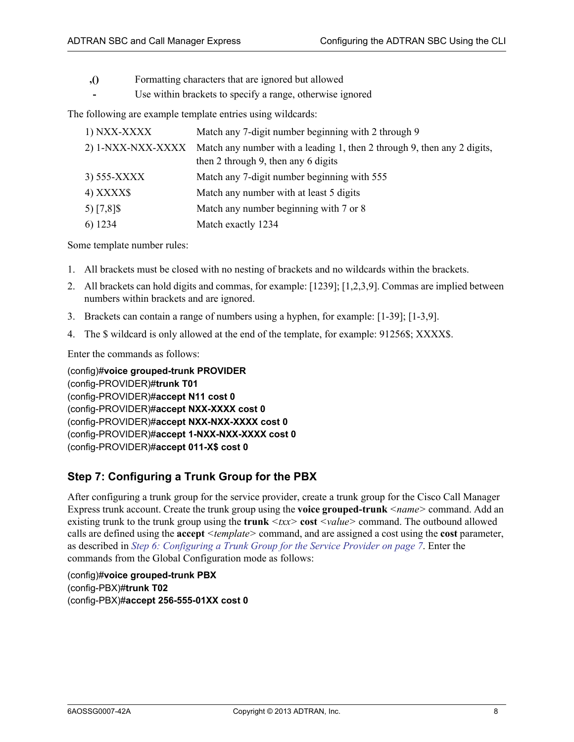- **,()** Formatting characters that are ignored but allowed
	- Use within brackets to specify a range, otherwise ignored

The following are example template entries using wildcards:

| 1) NXX-XXXX       | Match any 7-digit number beginning with 2 through 9                                                            |
|-------------------|----------------------------------------------------------------------------------------------------------------|
| 2) 1-NXX-NXX-XXXX | Match any number with a leading 1, then 2 through 9, then any 2 digits,<br>then 2 through 9, then any 6 digits |
| 3) 555-XXXX       | Match any 7-digit number beginning with 555                                                                    |
| 4) XXXX\$         | Match any number with at least 5 digits                                                                        |
| 5) $[7,8]$ \$     | Match any number beginning with 7 or 8                                                                         |
| 6) 1234           | Match exactly 1234                                                                                             |

Some template number rules:

- 1. All brackets must be closed with no nesting of brackets and no wildcards within the brackets.
- 2. All brackets can hold digits and commas, for example: [1239]; [1,2,3,9]. Commas are implied between numbers within brackets and are ignored.
- 3. Brackets can contain a range of numbers using a hyphen, for example: [1-39]; [1-3,9].
- 4. The \$ wildcard is only allowed at the end of the template, for example: 91256\$; XXXX\$.

Enter the commands as follows:

(config)#**voice grouped-trunk PROVIDER** (config-PROVIDER)#**trunk T01** (config-PROVIDER)#**accept N11 cost 0** (config-PROVIDER)#**accept NXX-XXXX cost 0** (config-PROVIDER)#**accept NXX-NXX-XXXX cost 0** (config-PROVIDER)#**accept 1-NXX-NXX-XXXX cost 0** (config-PROVIDER)#**accept 011-X\$ cost 0**

#### <span id="page-7-0"></span>**Step 7: Configuring a Trunk Group for the PBX**

After configuring a trunk group for the service provider, create a trunk group for the Cisco Call Manager Express trunk account. Create the trunk group using the **voice grouped-trunk** *<name>* command. Add an existing trunk to the trunk group using the **trunk** *<txx>* **cost** *<value>* command. The outbound allowed calls are defined using the **accept** *<template>* command, and are assigned a cost using the **cost** parameter, as described in *[Step 6: Configuring a Trunk Group for the Service Provider on page 7](#page-6-1)*. Enter the commands from the Global Configuration mode as follows:

(config)#**voice grouped-trunk PBX** (config-PBX)#**trunk T02** (config-PBX)#**accept 256-555-01XX cost 0**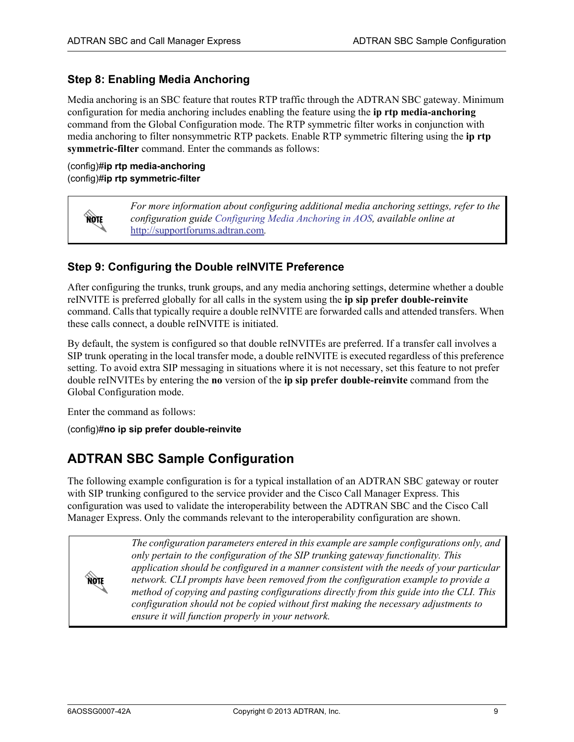#### <span id="page-8-1"></span>**Step 8: Enabling Media Anchoring**

Media anchoring is an SBC feature that routes RTP traffic through the ADTRAN SBC gateway. Minimum configuration for media anchoring includes enabling the feature using the **ip rtp media-anchoring** command from the Global Configuration mode. The RTP symmetric filter works in conjunction with media anchoring to filter nonsymmetric RTP packets. Enable RTP symmetric filtering using the **ip rtp symmetric-filter** command. Enter the commands as follows:

(config)#**ip rtp media-anchoring** (config)#**ip rtp symmetric-filter**

yon

*For more information about configuring additional media anchoring settings, refer to the configuration guide [Configuring Media Anchoring in AOS](https://supportforums.adtran.com/docs/DOC-5030), available online at*  [http://supportforums.adtran.com](https://supportforums.adtran.com/welcome)*.*

#### <span id="page-8-2"></span>**Step 9: Configuring the Double reINVITE Preference**

After configuring the trunks, trunk groups, and any media anchoring settings, determine whether a double reINVITE is preferred globally for all calls in the system using the **ip sip prefer double-reinvite** command. Calls that typically require a double reINVITE are forwarded calls and attended transfers. When these calls connect, a double reINVITE is initiated.

By default, the system is configured so that double reINVITEs are preferred. If a transfer call involves a SIP trunk operating in the local transfer mode, a double reINVITE is executed regardless of this preference setting. To avoid extra SIP messaging in situations where it is not necessary, set this feature to not prefer double reINVITEs by entering the **no** version of the **ip sip prefer double-reinvite** command from the Global Configuration mode.

Enter the command as follows:

(config)#**no ip sip prefer double-reinvite**

### <span id="page-8-0"></span>**ADTRAN SBC Sample Configuration**

The following example configuration is for a typical installation of an ADTRAN SBC gateway or router with SIP trunking configured to the service provider and the Cisco Call Manager Express. This configuration was used to validate the interoperability between the ADTRAN SBC and the Cisco Call Manager Express. Only the commands relevant to the interoperability configuration are shown.

not

*The configuration parameters entered in this example are sample configurations only, and only pertain to the configuration of the SIP trunking gateway functionality. This application should be configured in a manner consistent with the needs of your particular network. CLI prompts have been removed from the configuration example to provide a method of copying and pasting configurations directly from this guide into the CLI. This configuration should not be copied without first making the necessary adjustments to ensure it will function properly in your network.*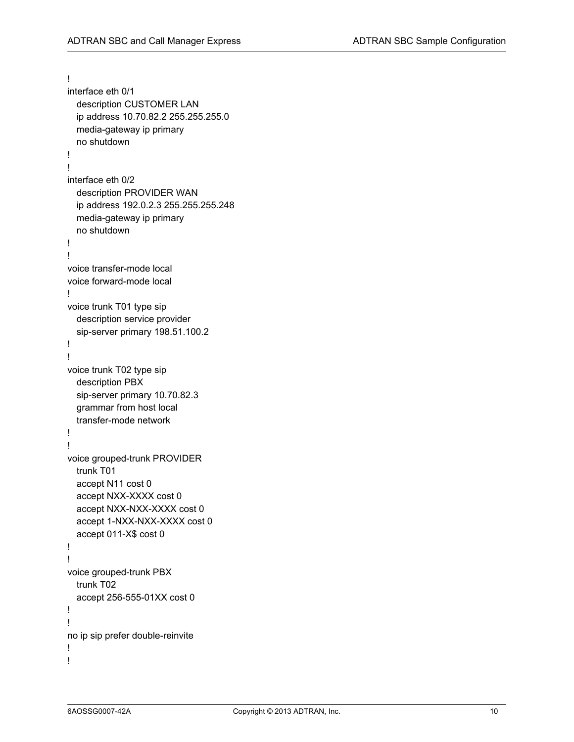```
!
interface eth 0/1
  description CUSTOMER LAN
  ip address 10.70.82.2 255.255.255.0
  media-gateway ip primary
  no shutdown
!
!
interface eth 0/2
  description PROVIDER WAN
  ip address 192.0.2.3 255.255.255.248
  media-gateway ip primary
  no shutdown
!
!
voice transfer-mode local
voice forward-mode local
!
voice trunk T01 type sip
  description service provider
  sip-server primary 198.51.100.2
!
!
voice trunk T02 type sip
  description PBX
  sip-server primary 10.70.82.3
  grammar from host local
  transfer-mode network
!
!
voice grouped-trunk PROVIDER
  trunk T01
  accept N11 cost 0
  accept NXX-XXXX cost 0
  accept NXX-NXX-XXXX cost 0
  accept 1-NXX-NXX-XXXX cost 0
  accept 011-X$ cost 0
!
!
voice grouped-trunk PBX
  trunk T02
  accept 256-555-01XX cost 0
!
!
no ip sip prefer double-reinvite
!
!
```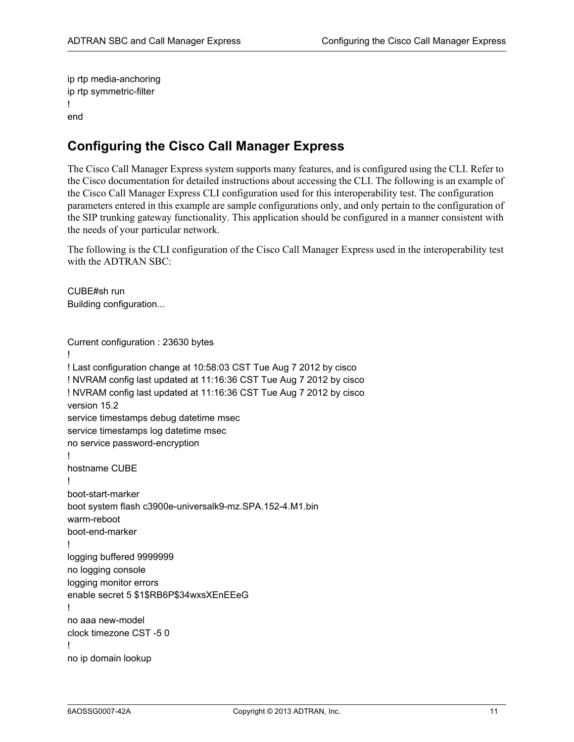ip rtp media-anchoring ip rtp symmetric-filter ! end

### <span id="page-10-0"></span>**Configuring the Cisco Call Manager Express**

The Cisco Call Manager Express system supports many features, and is configured using the CLI. Refer to the Cisco documentation for detailed instructions about accessing the CLI. The following is an example of the Cisco Call Manager Express CLI configuration used for this interoperability test. The configuration parameters entered in this example are sample configurations only, and only pertain to the configuration of the SIP trunking gateway functionality. This application should be configured in a manner consistent with the needs of your particular network.

The following is the CLI configuration of the Cisco Call Manager Express used in the interoperability test with the ADTRAN SBC:

CUBE#sh run Building configuration...

Current configuration : 23630 bytes ! ! Last configuration change at 10:58:03 CST Tue Aug 7 2012 by cisco ! NVRAM config last updated at 11:16:36 CST Tue Aug 7 2012 by cisco ! NVRAM config last updated at 11:16:36 CST Tue Aug 7 2012 by cisco version 15.2 service timestamps debug datetime msec service timestamps log datetime msec no service password-encryption ! hostname CUBE ! boot-start-marker boot system flash c3900e-universalk9-mz.SPA.152-4.M1.bin warm-reboot boot-end-marker ! logging buffered 9999999 no logging console logging monitor errors enable secret 5 \$1\$RB6P\$34wxsXEnEEeG ! no aaa new-model clock timezone CST -5 0 ! no ip domain lookup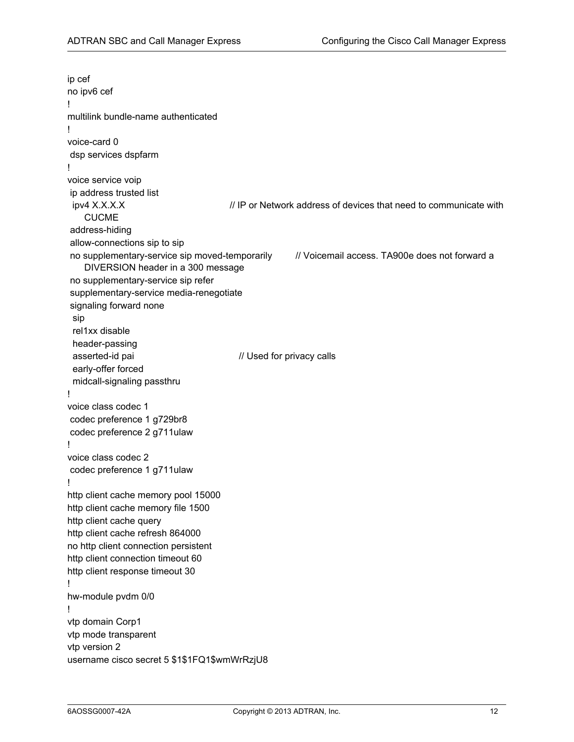ip cef no ipv6 cef ! multilink bundle-name authenticated ! voice-card 0 dsp services dspfarm ! voice service voip ip address trusted list ipv4 X.X.X.X // IP or Network address of devices that need to communicate with CUCME address-hiding allow-connections sip to sip no supplementary-service sip moved-temporarily // Voicemail access. TA900e does not forward a DIVERSION header in a 300 message no supplementary-service sip refer supplementary-service media-renegotiate signaling forward none sip rel1xx disable header-passing asserted-id pai // Used for privacy calls early-offer forced midcall-signaling passthru ! voice class codec 1 codec preference 1 g729br8 codec preference 2 g711ulaw ! voice class codec 2 codec preference 1 g711ulaw ! http client cache memory pool 15000 http client cache memory file 1500 http client cache query http client cache refresh 864000 no http client connection persistent http client connection timeout 60 http client response timeout 30 ! hw-module pvdm 0/0 ! vtp domain Corp1 vtp mode transparent vtp version 2 username cisco secret 5 \$1\$1FQ1\$wmWrRzjU8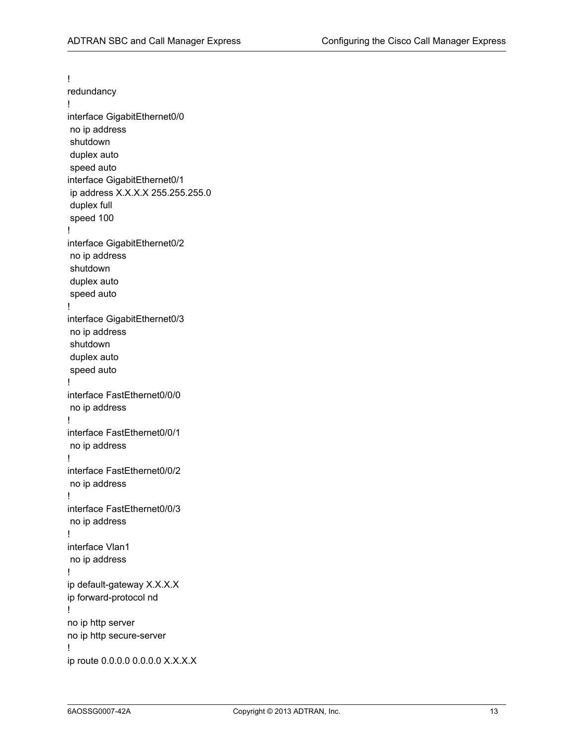! redundancy ! interface GigabitEthernet0/0 no ip address shutdown duplex auto speed auto interface GigabitEthernet0/1 ip address X.X.X.X 255.255.255.0 duplex full speed 100 ! interface GigabitEthernet0/2 no ip address shutdown duplex auto speed auto ! interface GigabitEthernet0/3 no ip address shutdown duplex auto speed auto ! interface FastEthernet0/0/0 no ip address ! interface FastEthernet0/0/1 no ip address ! interface FastEthernet0/0/2 no ip address ! interface FastEthernet0/0/3 no ip address ! interface Vlan1 no ip address ! ip default-gateway X.X.X.X ip forward-protocol nd ! no ip http server no ip http secure-server ! ip route 0.0.0.0 0.0.0.0 X.X.X.X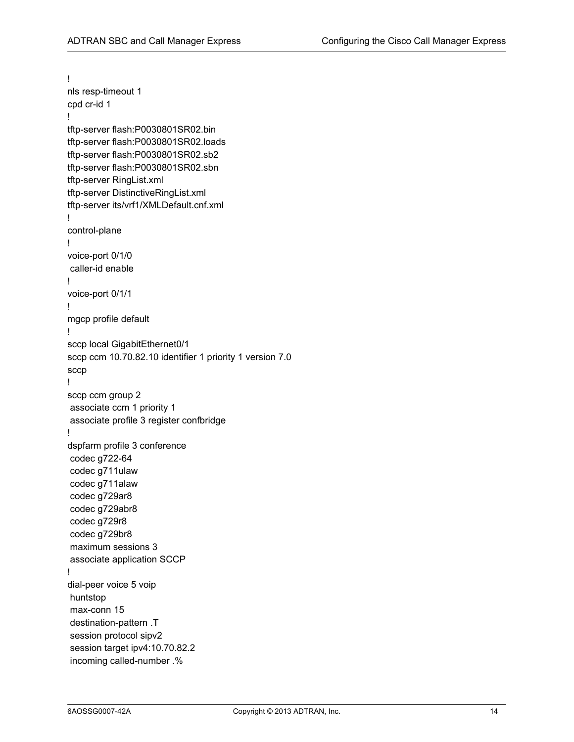! nls resp-timeout 1 cpd cr-id 1 ! tftp-server flash:P0030801SR02.bin tftp-server flash:P0030801SR02.loads tftp-server flash:P0030801SR02.sb2 tftp-server flash:P0030801SR02.sbn tftp-server RingList.xml tftp-server DistinctiveRingList.xml tftp-server its/vrf1/XMLDefault.cnf.xml ! control-plane ! voice-port 0/1/0 caller-id enable ! voice-port 0/1/1 ! mgcp profile default ! sccp local GigabitEthernet0/1 sccp ccm 10.70.82.10 identifier 1 priority 1 version 7.0 sccp ! sccp ccm group 2 associate ccm 1 priority 1 associate profile 3 register confbridge ! dspfarm profile 3 conference codec g722-64 codec g711ulaw codec g711alaw codec g729ar8 codec g729abr8 codec g729r8 codec g729br8 maximum sessions 3 associate application SCCP ! dial-peer voice 5 voip huntstop max-conn 15 destination-pattern .T session protocol sipv2 session target ipv4:10.70.82.2 incoming called-number .%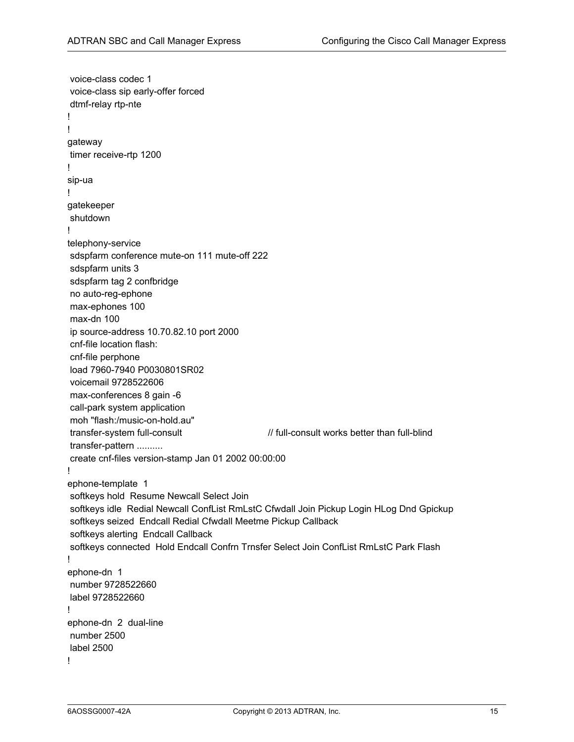voice-class codec 1 voice-class sip early-offer forced dtmf-relay rtp-nte ! ! gateway timer receive-rtp 1200 ! sip-ua ! gatekeeper shutdown ! telephony-service sdspfarm conference mute-on 111 mute-off 222 sdspfarm units 3 sdspfarm tag 2 confbridge no auto-reg-ephone max-ephones 100 max-dn 100 ip source-address 10.70.82.10 port 2000 cnf-file location flash: cnf-file perphone load 7960-7940 P0030801SR02 voicemail 9728522606 max-conferences 8 gain -6 call-park system application moh "flash:/music-on-hold.au" transfer-system full-consult // full-consult works better than full-blind transfer-pattern .......... create cnf-files version-stamp Jan 01 2002 00:00:00 ! ephone-template 1 softkeys hold Resume Newcall Select Join softkeys idle Redial Newcall ConfList RmLstC Cfwdall Join Pickup Login HLog Dnd Gpickup softkeys seized Endcall Redial Cfwdall Meetme Pickup Callback softkeys alerting Endcall Callback softkeys connected Hold Endcall Confrn Trnsfer Select Join ConfList RmLstC Park Flash ! ephone-dn 1 number 9728522660 label 9728522660 ! ephone-dn 2 dual-line number 2500 label 2500 !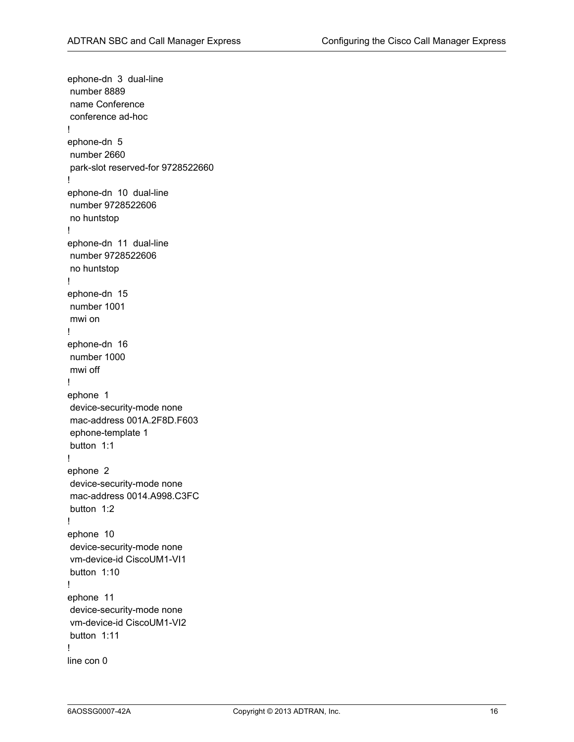ephone-dn 3 dual-line number 8889 name Conference conference ad-hoc ! ephone-dn 5 number 2660 park-slot reserved-for 9728522660 ! ephone-dn 10 dual-line number 9728522606 no huntstop ! ephone-dn 11 dual-line number 9728522606 no huntstop ! ephone-dn 15 number 1001 mwi on ! ephone-dn 16 number 1000 mwi off ! ephone 1 device-security-mode none mac-address 001A.2F8D.F603 ephone-template 1 button 1:1 ! ephone 2 device-security-mode none mac-address 0014.A998.C3FC button 1:2 ! ephone 10 device-security-mode none vm-device-id CiscoUM1-VI1 button 1:10 ! ephone 11 device-security-mode none vm-device-id CiscoUM1-VI2 button 1:11 ! line con 0